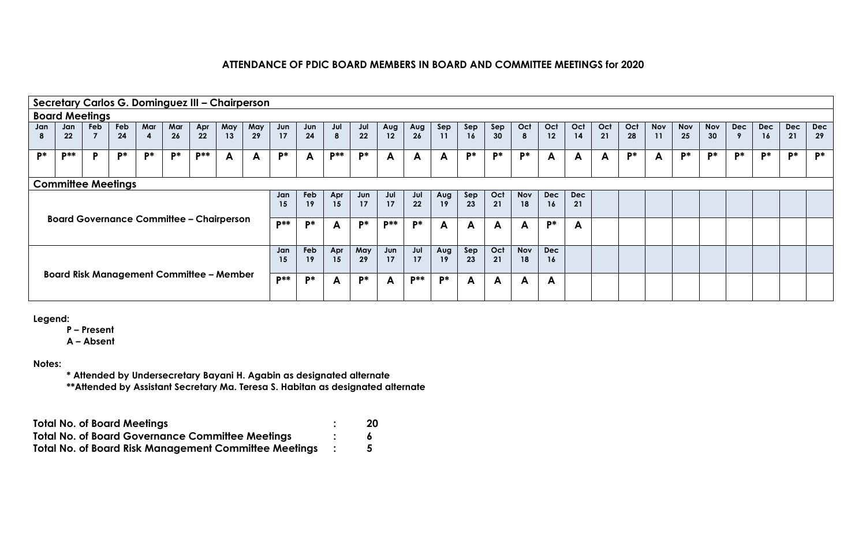|     |                           |                       |     |                         |     | Secretary Carlos G. Dominguez III - Chairperson |     |     |            |           |        |            |            |            |       |           |     |            |            |     |     |     |            |            |            |            |            |            |            |
|-----|---------------------------|-----------------------|-----|-------------------------|-----|-------------------------------------------------|-----|-----|------------|-----------|--------|------------|------------|------------|-------|-----------|-----|------------|------------|-----|-----|-----|------------|------------|------------|------------|------------|------------|------------|
|     |                           | <b>Board Meetings</b> |     |                         |     |                                                 |     |     |            |           |        |            |            |            |       |           |     |            |            |     |     |     |            |            |            |            |            |            |            |
| Jan | Jan                       | Feb                   | Feb | Mar                     | Mar | Apr<br>22                                       | May | May | Jun        | Jun<br>24 | Jul    | Jul        | Aug        | Aug        | Sep   | Sep       | Sep | Oct        | Oct        | Oct | Oct | Oct | <b>Nov</b> | <b>Nov</b> | <b>Nov</b> | <b>Dec</b> | <b>Dec</b> | <b>Dec</b> | <b>Dec</b> |
|     | 22                        | $\overline{7}$        | 24  | $\overline{\mathbf{4}}$ | 26  |                                                 | 13  | 29  | 17         |           | 8      | 22         | 12         | 26         | 11    | <b>16</b> | 30  | 8          | 12         | 14  | 21  | 28  | 11         | 25         | 30         |            | 16         | 21         | 29         |
| D*  | <b>D**</b>                | Þ                     | D*  | $P^*$                   | P*  | <b>D**</b>                                      | A   | A   | $P^*$      | A         | $P***$ | <b>p</b> * | A          | A          | A     | P*        | P*  | P*         | A          | A   | A   | P*  | A          | D*         | D*         | D*         | <b>D*</b>  | D*         | <b>D*</b>  |
|     |                           |                       |     |                         |     |                                                 |     |     |            |           |        |            |            |            |       |           |     |            |            |     |     |     |            |            |            |            |            |            |            |
|     | <b>Committee Meetings</b> |                       |     |                         |     |                                                 |     |     |            |           |        |            |            |            |       |           |     |            |            |     |     |     |            |            |            |            |            |            |            |
|     |                           |                       |     |                         |     |                                                 |     |     | Jan        | Feb       | Apr    | Jun        | Jul        | Jul        | Aug   | Sep       | Oct | <b>Nov</b> | <b>Dec</b> | Dec |     |     |            |            |            |            |            |            |            |
|     |                           |                       |     |                         |     |                                                 |     |     | 15         | 19        | 15     | 17         | 17         | 22         | 19    | 23        | 21  | 18         | 16         | 21  |     |     |            |            |            |            |            |            |            |
|     |                           |                       |     |                         |     | <b>Board Governance Committee - Chairperson</b> |     |     | <b>D**</b> | D*        | A      | D*         | <b>D**</b> | <b>D*</b>  | A     | A         | A   | A          | $P^*$      | A   |     |     |            |            |            |            |            |            |            |
|     |                           |                       |     |                         |     |                                                 |     |     |            |           |        |            |            |            |       |           |     |            |            |     |     |     |            |            |            |            |            |            |            |
|     |                           |                       |     |                         |     |                                                 |     |     | Jan        | Feb       | Apr    | May        | Jun        | Jul        | Aug   | Sep       | Oct | <b>Nov</b> | <b>Dec</b> |     |     |     |            |            |            |            |            |            |            |
|     |                           |                       |     |                         |     |                                                 |     |     | 15         | 19        | 15     | 29         | 17         | 17         | 19    | 23        | 21  | 18         | 16         |     |     |     |            |            |            |            |            |            |            |
|     |                           |                       |     |                         |     | <b>Board Risk Management Committee - Member</b> |     |     | <b>D**</b> | <b>D*</b> |        | <b>p*</b>  |            | <b>D**</b> | $P^*$ |           |     |            |            |     |     |     |            |            |            |            |            |            |            |
|     |                           |                       |     |                         |     |                                                 |     |     |            |           | A      |            | A          |            |       | A         | A   | A          | A          |     |     |     |            |            |            |            |            |            |            |
|     |                           |                       |     |                         |     |                                                 |     |     |            |           |        |            |            |            |       |           |     |            |            |     |     |     |            |            |            |            |            |            |            |

**Legend:**

**P – Present**

**A – Absent**

**Notes:**

**\* Attended by Undersecretary Bayani H. Agabin as designated alternate \*\*Attended by Assistant Secretary Ma. Teresa S. Habitan as designated alternate**

| <b>Total No. of Board Meetings</b>                           | 20 |
|--------------------------------------------------------------|----|
| <b>Total No. of Board Governance Committee Meetings</b>      |    |
| <b>Total No. of Board Risk Management Committee Meetings</b> |    |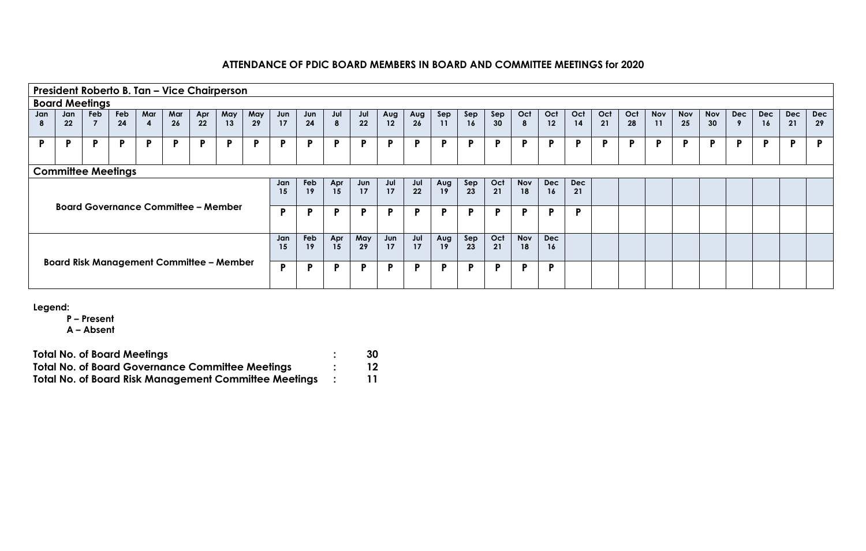|                       |                           |                |     |                  |     |     | President Roberto B. Tan - Vice Chairperson     |     |     |     |     |     |     |     |     |     |     |            |            |     |     |     |            |            |            |            |            |            |            |
|-----------------------|---------------------------|----------------|-----|------------------|-----|-----|-------------------------------------------------|-----|-----|-----|-----|-----|-----|-----|-----|-----|-----|------------|------------|-----|-----|-----|------------|------------|------------|------------|------------|------------|------------|
| <b>Board Meetings</b> |                           |                |     |                  |     |     |                                                 |     |     |     |     |     |     |     |     |     |     |            |            |     |     |     |            |            |            |            |            |            |            |
| Jan                   | Jan                       | <b>Feb</b>     | Feb | Mar              | Mar | Apr | May                                             | May | Jun | Jun | Jul | Jul | Aug | Aug | Sep | Sep | Sep | Oct        | Oct        | Oct | Oct | Oct | <b>Nov</b> | <b>Nov</b> | <b>Nov</b> | <b>Dec</b> | <b>Dec</b> | <b>Dec</b> | <b>Dec</b> |
|                       | 22                        | $\overline{7}$ | 24  | $\boldsymbol{4}$ | 26  | 22  | 13                                              | 29  | 17  | 24  | 8   | 22  | 12  | 26  | 11  | 16  | 30  | 8          | 12         | 14  | 21  | 28  | 11         | 25         | 30         | 9          | <b>16</b>  | 21         | 29         |
| D                     | D                         | P.             | D   | Þ                | D   | Þ   | Þ                                               | Þ   | D   | Þ   | P   | P   | Þ   | Þ   | Þ   | D   | D   | D          | P          | Þ   | P   | P   | P          | D          | D          | D          | P          | D          | D          |
|                       |                           |                |     |                  |     |     |                                                 |     |     |     |     |     |     |     |     |     |     |            |            |     |     |     |            |            |            |            |            |            |            |
|                       | <b>Committee Meetings</b> |                |     |                  |     |     |                                                 |     |     |     |     |     |     |     |     |     |     |            |            |     |     |     |            |            |            |            |            |            |            |
|                       |                           |                |     |                  |     |     |                                                 |     | Jan | Feb | Apr | Jun | Jul | Jul | Aug | Sep | Oct | <b>Nov</b> | <b>Dec</b> | Dec |     |     |            |            |            |            |            |            |            |
|                       |                           |                |     |                  |     |     |                                                 |     | 15  | 19  | 15  | 17  | 17  | 22  | 19  | 23  | 21  | 18         | 16         | 21  |     |     |            |            |            |            |            |            |            |
|                       |                           |                |     |                  |     |     | <b>Board Governance Committee - Member</b>      |     | P   | Đ   | Đ   | P   | Þ   | Þ   | Þ   | D   | D   | D.         | P          | Þ   |     |     |            |            |            |            |            |            |            |
|                       |                           |                |     |                  |     |     |                                                 |     |     |     |     |     |     |     |     |     |     |            |            |     |     |     |            |            |            |            |            |            |            |
|                       |                           |                |     |                  |     |     |                                                 |     | Jan | Feb | Apr | May | Jun | Jul | Aug | Sep | Oct | <b>Nov</b> | Dec        |     |     |     |            |            |            |            |            |            |            |
|                       |                           |                |     |                  |     |     |                                                 |     | 15  | 19  | 15  | 29  | 17  | 17  | 19  | 23  | 21  | 18         | 16         |     |     |     |            |            |            |            |            |            |            |
|                       |                           |                |     |                  |     |     | <b>Board Risk Management Committee - Member</b> |     | P   | P   | P   | P   | Þ   | P   | D   | D   | D   | D.         | P          |     |     |     |            |            |            |            |            |            |            |
|                       |                           |                |     |                  |     |     |                                                 |     |     |     |     |     |     |     |     |     |     |            |            |     |     |     |            |            |            |            |            |            |            |

**Legend:**

**P – Present**

| <b>Total No. of Board Meetings</b>                           | 30 |
|--------------------------------------------------------------|----|
| <b>Total No. of Board Governance Committee Meetings</b>      |    |
| <b>Total No. of Board Risk Management Committee Meetings</b> |    |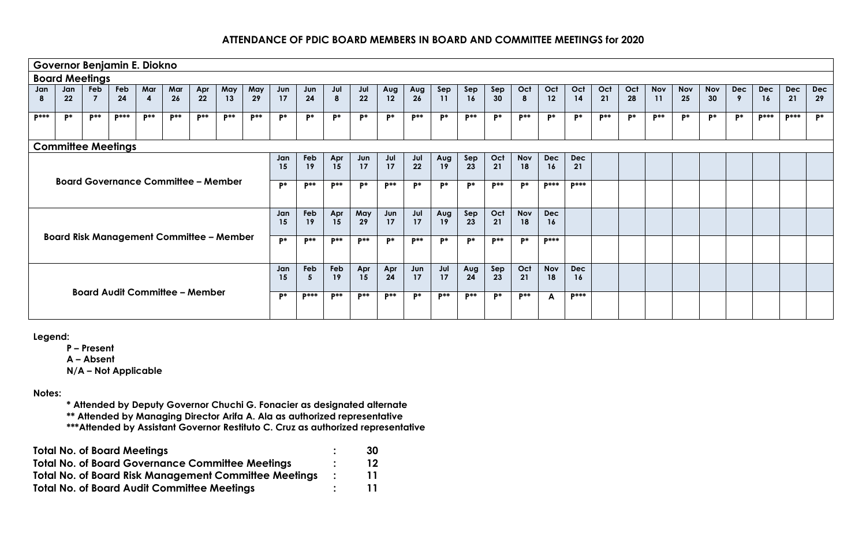|              |                       |                | Governor Benjamin E. Diokno           |                         |             |          |                                                 |          |           |              |             |                 |             |             |             |           |             |                  |                  |                  |       |     |            |            |            |            |             |             |            |
|--------------|-----------------------|----------------|---------------------------------------|-------------------------|-------------|----------|-------------------------------------------------|----------|-----------|--------------|-------------|-----------------|-------------|-------------|-------------|-----------|-------------|------------------|------------------|------------------|-------|-----|------------|------------|------------|------------|-------------|-------------|------------|
|              | <b>Board Meetings</b> |                |                                       |                         |             |          |                                                 |          |           |              |             |                 |             |             |             |           |             |                  |                  |                  |       |     |            |            |            |            |             |             |            |
| Jan          | Jan                   | Feb            | Feb                                   | Mar                     | Mar         | Apr      | May                                             | May      | Jun       | Jun          | Jul         | Jul             | Aug         | Aug         | Sep         | Sep       | Sep         | Oct              | Oct              | Oct              | Oct   | Oct | <b>Nov</b> | Nov        | <b>Nov</b> | <b>Dec</b> | <b>Dec</b>  | <b>Dec</b>  | <b>Dec</b> |
| 8            | 22                    | $\overline{7}$ | 24                                    | $\overline{\mathbf{4}}$ | 26          | 22       | 13                                              | 29       | 17        | 24           | 8           | 22              | 12          | 26          | 11          | 16        | 30          | 8                | 12               | 14               | 21    | 28  | 11         | 25         | 30         | 9          | 16          | 21          | 29         |
| <b>D</b> *** | D*                    | $P^{**}$       | <b>D</b> ***                          | $\mathbf{p}$ **         | <b>D</b> ** | $P^{**}$ | <b>D</b> **                                     | $P^{**}$ | D*        | P*           | $P^*$       | P*              | P*          | $p**$       | $P^*$       | $p**$     | $P^*$       | <b>D</b> **      | $P^*$            | P*               | $p**$ | P*  | $P^{**}$   | <b>p</b> * | P*         | D*         | <b>D***</b> | <b>D***</b> | P*         |
|              |                       |                | <b>Committee Meetings</b>             |                         |             |          |                                                 |          |           |              |             |                 |             |             |             |           |             |                  |                  |                  |       |     |            |            |            |            |             |             |            |
|              |                       |                |                                       |                         |             |          |                                                 |          | Jan<br>15 | Feb<br>19    | Apr<br>15   | Jun<br>17       | Jul<br>17   | Jul<br>22   | Aug<br>19   | Sep<br>23 | Oct<br>21   | Nov<br>18        | <b>Dec</b><br>16 | <b>Dec</b><br>21 |       |     |            |            |            |            |             |             |            |
|              |                       |                |                                       |                         |             |          | <b>Board Governance Committee - Member</b>      |          | D*        | $p**$        | <b>p</b> ** | D*              | <b>D</b> ** | P*          | P*          | P*        | $p**$       | p*               | <b>D</b> ***     | <b>D</b> ***     |       |     |            |            |            |            |             |             |            |
|              |                       |                |                                       |                         |             |          |                                                 |          | Jan<br>15 | Feb<br>19    | Apr<br>15   | May<br>29       | Jun<br>17   | Jul<br>17   | Aug<br>19   | Sep<br>23 | Oct<br>21   | <b>Nov</b><br>18 | <b>Dec</b><br>16 |                  |       |     |            |            |            |            |             |             |            |
|              |                       |                |                                       |                         |             |          | <b>Board Risk Management Committee - Member</b> |          | p*        | $P^{**}$     | <b>P**</b>  | <b>D</b> **     | P*          | <b>p</b> ** | P*          | P*        | <b>p</b> ** | P*               | <b>D</b> ***     |                  |       |     |            |            |            |            |             |             |            |
|              |                       |                |                                       |                         |             |          |                                                 |          | Jan<br>15 | Feb<br>-5    | Feb<br>19   | Apr<br>15       | Apr<br>24   | Jun<br>17   | Jul<br>17   | Aug<br>24 | Sep<br>23   | Oct<br>21        | <b>Nov</b><br>18 | <b>Dec</b><br>16 |       |     |            |            |            |            |             |             |            |
|              |                       |                | <b>Board Audit Committee - Member</b> |                         |             |          |                                                 |          | D*        | <b>D</b> *** | <b>D</b> ** | $\mathbf{p}$ ** | $p**$       | $P^*$       | <b>D</b> ** | $p**$     | $P^*$       | <b>p</b> **      | $\mathsf{A}$     | <b>D</b> ***     |       |     |            |            |            |            |             |             |            |

**Legend:**

**P – Present**

**A – Absent**

**N/A – Not Applicable**

#### **Notes:**

**\* Attended by Deputy Governor Chuchi G. Fonacier as designated alternate**

**\*\* Attended by Managing Director Arifa A. Ala as authorized representative**

**\*\*\*Attended by Assistant Governor Restituto C. Cruz as authorized representative** 

| <b>Total No. of Board Meetings</b>                           | 30 |
|--------------------------------------------------------------|----|
| <b>Total No. of Board Governance Committee Meetings</b>      | 12 |
| <b>Total No. of Board Risk Management Committee Meetings</b> | 11 |
| <b>Total No. of Board Audit Committee Meetings</b>           | 11 |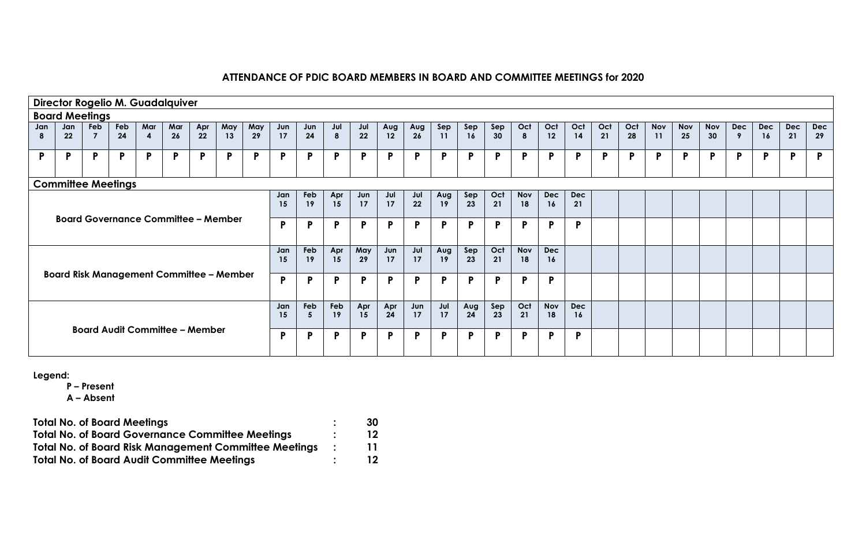|     |     |                       |                           |                         | Director Rogelio M. Guadalquiver      |     |                                                 |     |           |           |           |           |           |           |           |           |           |                  |                  |                  |     |     |            |            |            |            |            |     |            |
|-----|-----|-----------------------|---------------------------|-------------------------|---------------------------------------|-----|-------------------------------------------------|-----|-----------|-----------|-----------|-----------|-----------|-----------|-----------|-----------|-----------|------------------|------------------|------------------|-----|-----|------------|------------|------------|------------|------------|-----|------------|
|     |     | <b>Board Meetings</b> |                           |                         |                                       |     |                                                 |     |           |           |           |           |           |           |           |           |           |                  |                  |                  |     |     |            |            |            |            |            |     |            |
| Jan | Jan | <b>Feb</b>            | <b>Feb</b>                | Mar                     | Mar                                   | Apr | May                                             | May | Jun       | Jun       | Jul       | Jul       | Aug       | Aug       | Sep       | Sep       | Sep       | Oct              | Oct              | Oct              | Oct | Oct | <b>Nov</b> | <b>Nov</b> | <b>Nov</b> | <b>Dec</b> | <b>Dec</b> | Dec | <b>Dec</b> |
| 8   | 22  | 7                     | 24                        | $\overline{\mathbf{4}}$ | 26                                    | 22  | 13                                              | 29  | 17        | 24        | 8         | 22        | 12        | 26        | 11        | 16        | 30        | 8                | 12               | 14               | 21  | 28  | 11         | 25         | 30         | 9          | <b>16</b>  | 21  | 29         |
| P   | P   | P.                    | P                         | P                       | D                                     | P   | P                                               | P.  | P         | P         | P         | P         | P         | P         | P         | P         | P         | P                | P                | P                | P   | P   | P          | P          | P          | P          | P          | D   | P          |
|     |     |                       | <b>Committee Meetings</b> |                         |                                       |     |                                                 |     |           |           |           |           |           |           |           |           |           |                  |                  |                  |     |     |            |            |            |            |            |     |            |
|     |     |                       |                           |                         |                                       |     |                                                 |     | Jan<br>15 | Feb<br>19 | Apr<br>15 | Jun<br>17 | Jul<br>17 | Jul<br>22 | Aug<br>19 | Sep<br>23 | Oct<br>21 | <b>Nov</b><br>18 | <b>Dec</b><br>16 | Dec<br>21        |     |     |            |            |            |            |            |     |            |
|     |     |                       |                           |                         |                                       |     | <b>Board Governance Committee - Member</b>      |     | P         | P         | P         | P         | P         | P         | P         | P         | P         | P                | P                | P                |     |     |            |            |            |            |            |     |            |
|     |     |                       |                           |                         |                                       |     |                                                 |     | Jan<br>15 | Feb<br>19 | Apr<br>15 | May<br>29 | Jun<br>17 | Jul<br>17 | Aug<br>19 | Sep<br>23 | Oct<br>21 | <b>Nov</b><br>18 | <b>Dec</b><br>16 |                  |     |     |            |            |            |            |            |     |            |
|     |     |                       |                           |                         |                                       |     | <b>Board Risk Management Committee - Member</b> |     | P         | P         | P         | P         | P         | P         | P         | P         | P         | P                | P                |                  |     |     |            |            |            |            |            |     |            |
|     |     |                       |                           |                         |                                       |     |                                                 |     | Jan<br>15 | Feb<br>5  | Feb<br>19 | Apr<br>15 | Apr<br>24 | Jun<br>17 | Jul<br>17 | Aug<br>24 | Sep<br>23 | Oct<br>21        | <b>Nov</b><br>18 | <b>Dec</b><br>16 |     |     |            |            |            |            |            |     |            |
|     |     |                       |                           |                         | <b>Board Audit Committee - Member</b> |     |                                                 |     | P         | P         | P         | P         | P         | P         | <b>P</b>  | P         | P         | P                | P                | P                |     |     |            |            |            |            |            |     |            |

**Legend:**

**P – Present**

| <b>Total No. of Board Meetings</b>                           |               | 30 |
|--------------------------------------------------------------|---------------|----|
| <b>Total No. of Board Governance Committee Meetings</b>      |               | 12 |
| <b>Total No. of Board Risk Management Committee Meetings</b> | $\mathcal{L}$ | 11 |
| <b>Total No. of Board Audit Committee Meetings</b>           |               | 12 |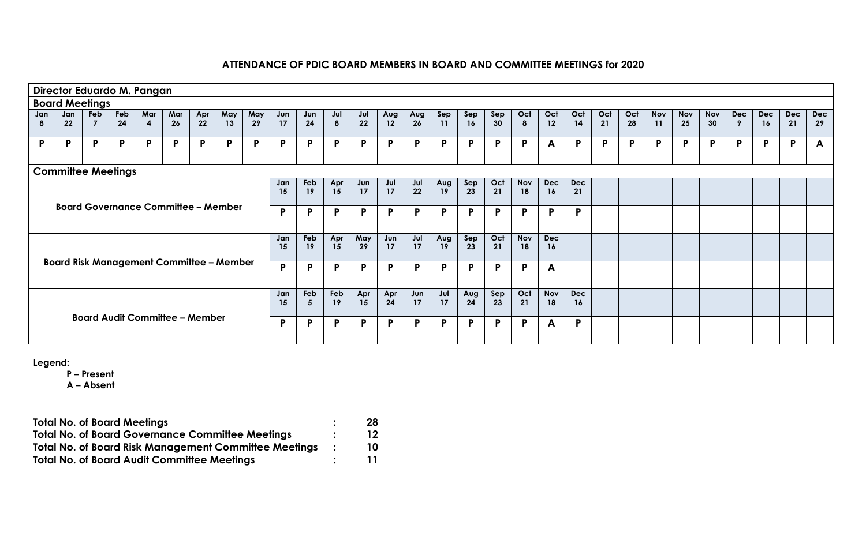|     |           | Director Eduardo M. Pangan |           |          |                                       |           |                                                 |           |           |           |           |           |           |           |           |           |           |                  |                  |                  |           |           |                  |                  |                  |                 |                  |     |                  |
|-----|-----------|----------------------------|-----------|----------|---------------------------------------|-----------|-------------------------------------------------|-----------|-----------|-----------|-----------|-----------|-----------|-----------|-----------|-----------|-----------|------------------|------------------|------------------|-----------|-----------|------------------|------------------|------------------|-----------------|------------------|-----|------------------|
|     |           | <b>Board Meetings</b>      |           |          |                                       |           |                                                 |           |           |           |           |           |           |           |           |           |           |                  |                  |                  |           |           |                  |                  |                  |                 |                  |     |                  |
| Jan | Jan<br>22 | Feb<br>$\overline{7}$      | Feb<br>24 | Mar<br>4 | Mar<br>26                             | Apr<br>22 | May<br>13                                       | May<br>29 | Jun<br>17 | Jun<br>24 | Jul       | Jul<br>22 | Aug<br>12 | Aug<br>26 | Sep<br>11 | Sep<br>16 | Sep<br>30 | Oct              | Oct<br>12        | Oct<br>14        | Oct<br>21 | Oct<br>28 | <b>Nov</b><br>11 | <b>Nov</b><br>25 | <b>Nov</b><br>30 | <b>Dec</b><br>9 | <b>Dec</b><br>16 | Dec | <b>Dec</b><br>29 |
|     |           |                            |           |          |                                       |           |                                                 |           |           |           | 8         |           |           |           |           |           |           | 8                |                  |                  |           |           |                  |                  |                  |                 |                  | 21  |                  |
| P   | P         | P                          | P         | P        | P                                     | P.        | $\mathbf{P}$                                    | P         | P         | P         | P         | P         | P         | P.        | P         | P         | P         | P.               | A                | P                | P         | P         | $\mathsf{P}$     | P                | P                | P               | P                | P   | A                |
|     |           | <b>Committee Meetings</b>  |           |          |                                       |           |                                                 |           |           |           |           |           |           |           |           |           |           |                  |                  |                  |           |           |                  |                  |                  |                 |                  |     |                  |
|     |           |                            |           |          |                                       |           |                                                 |           | Jan<br>15 | Feb<br>19 | Apr<br>15 | Jun<br>17 | Jul<br>17 | Jul<br>22 | Aug<br>19 | Sep<br>23 | Oct<br>21 | <b>Nov</b><br>18 | <b>Dec</b><br>16 | <b>Dec</b><br>21 |           |           |                  |                  |                  |                 |                  |     |                  |
|     |           |                            |           |          |                                       |           | <b>Board Governance Committee - Member</b>      |           | P         | P         | P         | P         | P         | P         | P         | P         | P         | P.               | P                | Þ                |           |           |                  |                  |                  |                 |                  |     |                  |
|     |           |                            |           |          |                                       |           |                                                 |           | Jan<br>15 | Feb<br>19 | Apr<br>15 | May<br>29 | Jun<br>17 | Jul<br>17 | Aug<br>19 | Sep<br>23 | Oct<br>21 | <b>Nov</b><br>18 | <b>Dec</b><br>16 |                  |           |           |                  |                  |                  |                 |                  |     |                  |
|     |           |                            |           |          |                                       |           | <b>Board Risk Management Committee - Member</b> |           | P         | P         | P         | P         | P         | P         | P         | P         | P         | P.               | A                |                  |           |           |                  |                  |                  |                 |                  |     |                  |
|     |           |                            |           |          |                                       |           |                                                 |           | Jan<br>15 | Feb<br>5  | Feb<br>19 | Apr<br>15 | Apr<br>24 | Jun<br>17 | Jul<br>17 | Aug<br>24 | Sep<br>23 | Oct<br>21        | <b>Nov</b><br>18 | <b>Dec</b><br>16 |           |           |                  |                  |                  |                 |                  |     |                  |
|     |           |                            |           |          | <b>Board Audit Committee - Member</b> |           |                                                 |           | P         | P         | P         | P         | P         | P         | P         | P         | P         | P.               | A                | Þ                |           |           |                  |                  |                  |                 |                  |     |                  |

**Legend:**

**P – Present**

| <b>Total No. of Board Meetings</b>                           | 28 |
|--------------------------------------------------------------|----|
| <b>Total No. of Board Governance Committee Meetings</b>      | 12 |
| <b>Total No. of Board Risk Management Committee Meetings</b> | 10 |
| <b>Total No. of Board Audit Committee Meetings</b>           |    |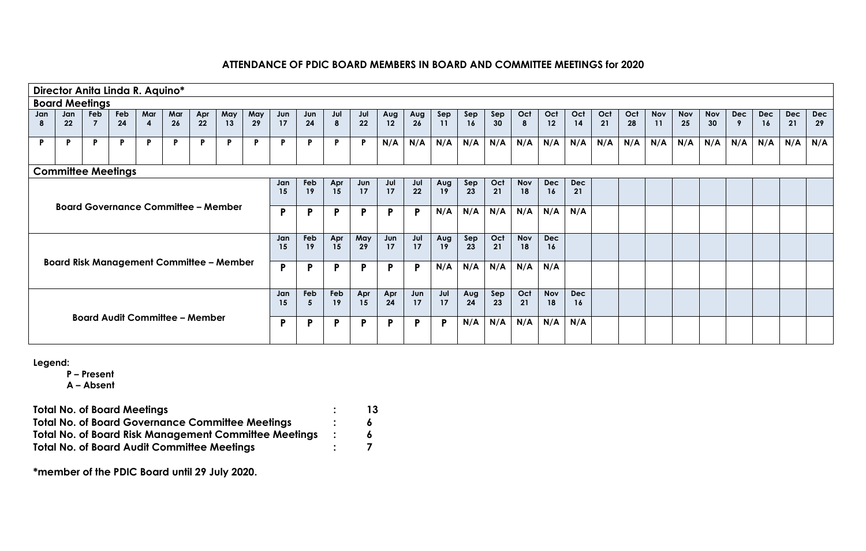|     |         |                       | Director Anita Linda R. Aquino* |                  |                                                 |     |     |     |     |     |              |              |     |     |     |     |     |            |            |            |     |     |            |            |            |     |     |     |            |
|-----|---------|-----------------------|---------------------------------|------------------|-------------------------------------------------|-----|-----|-----|-----|-----|--------------|--------------|-----|-----|-----|-----|-----|------------|------------|------------|-----|-----|------------|------------|------------|-----|-----|-----|------------|
|     |         | <b>Board Meetings</b> |                                 |                  |                                                 |     |     |     |     |     |              |              |     |     |     |     |     |            |            |            |     |     |            |            |            |     |     |     |            |
| Jan | Jan     | <b>Feb</b>            | <b>Feb</b>                      | Mar              | Mar                                             | Apr | May | May | Jun | Jun | Jul          | Jul          | Aug | Aug | Sep | Sep | Sep | Oct        | Oct        | Oct        | Oct | Oct | <b>Nov</b> | <b>Nov</b> | <b>Nov</b> | Dec | Dec | Dec | <b>Dec</b> |
|     | $22 \,$ |                       | 24                              | $\boldsymbol{4}$ | 26                                              | 22  | 13  | 29  | 17  | 24  | 8            | 22           | 12  | 26  | 11  | 16  | 30  | 8          | 12         | 14         | 21  | 28  | 11         | 25         | 30         | 9   | 16  | 21  | 29         |
| P   | P.      | P.                    | P                               | P.               | Ð                                               | P.  | P   | P.  | P   | P   | P            | $\mathsf{P}$ | N/A | N/A | N/A | N/A | N/A | N/A        | N/A        | N/A        | N/A | N/A | N/A        | N/A        | N/A        | N/A | N/A | N/A | N/A        |
|     |         |                       | <b>Committee Meetings</b>       |                  |                                                 |     |     |     |     |     |              |              |     |     |     |     |     |            |            |            |     |     |            |            |            |     |     |     |            |
|     |         |                       |                                 |                  |                                                 |     |     |     | Jan | Feb | Apr          | Jun          | Jul | Jul | Aug | Sep | Oct | <b>Nov</b> | <b>Dec</b> | <b>Dec</b> |     |     |            |            |            |     |     |     |            |
|     |         |                       |                                 |                  |                                                 |     |     |     | 15  | 19  | 15           | 17           | 17  | 22  | 19  | 23  | 21  | 18         | 16         | 21         |     |     |            |            |            |     |     |     |            |
|     |         |                       |                                 |                  | <b>Board Governance Committee - Member</b>      |     |     |     | P   | P   | $\mathsf{P}$ | P            | P   | P   | N/A | N/A | N/A | N/A        | N/A        | N/A        |     |     |            |            |            |     |     |     |            |
|     |         |                       |                                 |                  |                                                 |     |     |     |     |     |              |              |     |     |     |     |     |            |            |            |     |     |            |            |            |     |     |     |            |
|     |         |                       |                                 |                  |                                                 |     |     |     | Jan | Feb | Apr          | May          | Jun | Jul | Aug | Sep | Oct | <b>Nov</b> | <b>Dec</b> |            |     |     |            |            |            |     |     |     |            |
|     |         |                       |                                 |                  |                                                 |     |     |     | 15  | 19  | 15           | 29           | 17  | 17  | 19  | 23  | 21  | 18         | 16         |            |     |     |            |            |            |     |     |     |            |
|     |         |                       |                                 |                  | <b>Board Risk Management Committee - Member</b> |     |     |     | P   | P   | <b>P</b>     | P            | P   | P   | N/A | N/A | N/A | N/A        | N/A        |            |     |     |            |            |            |     |     |     |            |
|     |         |                       |                                 |                  |                                                 |     |     |     |     |     |              |              |     |     |     |     |     |            |            |            |     |     |            |            |            |     |     |     |            |
|     |         |                       |                                 |                  |                                                 |     |     |     | Jan | Feb | Feb          | Apr          | Apr | Jun | Jul | Aug | Sep | Oct        | <b>Nov</b> | <b>Dec</b> |     |     |            |            |            |     |     |     |            |
|     |         |                       |                                 |                  |                                                 |     |     |     | 15  | -5  | 19           | 15           | 24  | 17  | 17  | 24  | 23  | 21         | 18         | 16         |     |     |            |            |            |     |     |     |            |
|     |         |                       |                                 |                  | <b>Board Audit Committee - Member</b>           |     |     |     | P   | P   | P            | P            | P   | P   | P   | N/A | N/A | N/A        | N/A        | N/A        |     |     |            |            |            |     |     |     |            |
|     |         |                       |                                 |                  |                                                 |     |     |     |     |     |              |              |     |     |     |     |     |            |            |            |     |     |            |            |            |     |     |     |            |

**Legend:**

**P – Present**

**A – Absent**

**Total No. of Board Meetings : 13 Total No. of Board Governance Committee Meetings : 6 Total No. of Board Risk Management Committee Meetings : 6 Total No. of Board Audit Committee Meetings : 7**

**\*member of the PDIC Board until 29 July 2020.**